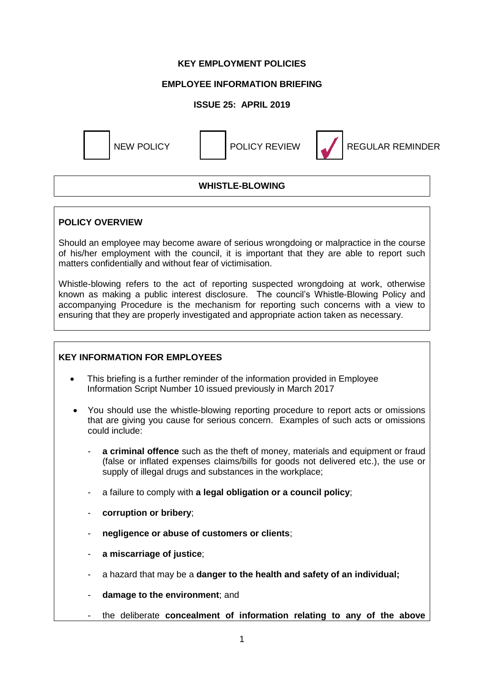### **KEY EMPLOYMENT POLICIES**

## **EMPLOYEE INFORMATION BRIEFING**

# **ISSUE 25: APRIL 2019**



# **WHISTLE-BLOWING**

### **POLICY OVERVIEW**

Should an employee may become aware of serious wrongdoing or malpractice in the course of his/her employment with the council, it is important that they are able to report such matters confidentially and without fear of victimisation.

Whistle-blowing refers to the act of reporting suspected wrongdoing at work, otherwise known as making a public interest disclosure. The council's Whistle-Blowing Policy and accompanying Procedure is the mechanism for reporting such concerns with a view to ensuring that they are properly investigated and appropriate action taken as necessary.

## **KEY INFORMATION FOR EMPLOYEES**

- This briefing is a further reminder of the information provided in Employee Information Script Number 10 issued previously in March 2017
- You should use the whistle-blowing reporting procedure to report acts or omissions that are giving you cause for serious concern. Examples of such acts or omissions could include:
	- a **criminal offence** such as the theft of money, materials and equipment or fraud (false or inflated expenses claims/bills for goods not delivered etc.), the use or supply of illegal drugs and substances in the workplace;
	- a failure to comply with **a legal obligation or a council policy**;
	- corruption or bribery;
	- **negligence or abuse of customers or clients**;
	- **a miscarriage of justice**;
	- a hazard that may be a **danger to the health and safety of an individual;**
	- damage to the environment; and
	- the deliberate **concealment of information relating to any of the above**